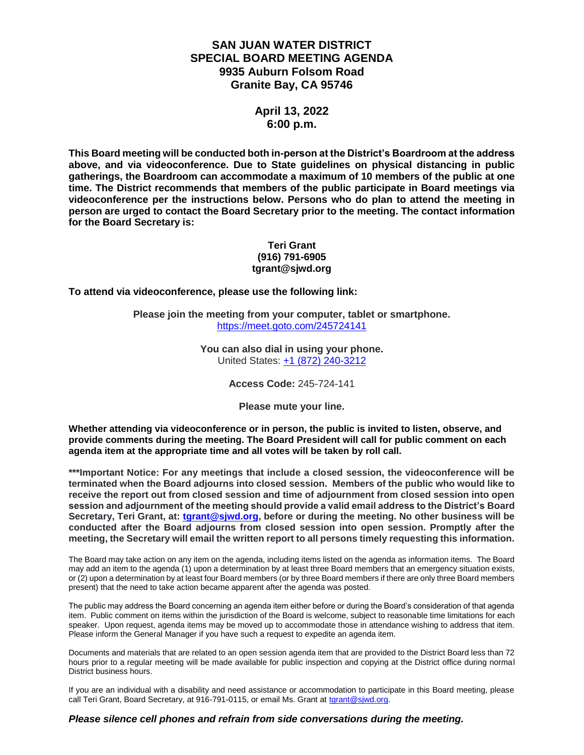### **SAN JUAN WATER DISTRICT SPECIAL BOARD MEETING AGENDA 9935 Auburn Folsom Road Granite Bay, CA 95746**

### **April 13, 2022 6:00 p.m.**

**This Board meeting will be conducted both in-person at the District's Boardroom at the address above, and via videoconference. Due to State guidelines on physical distancing in public gatherings, the Boardroom can accommodate a maximum of 10 members of the public at one time. The District recommends that members of the public participate in Board meetings via videoconference per the instructions below. Persons who do plan to attend the meeting in person are urged to contact the Board Secretary prior to the meeting. The contact information for the Board Secretary is:**

#### **Teri Grant (916) 791-6905 tgrant@sjwd.org**

**To attend via videoconference, please use the following link:**

**Please join the meeting from your computer, tablet or smartphone.** <https://meet.goto.com/245724141>

> **You can also dial in using your phone.** United States: [+1 \(872\) 240-3212](tel:+18722403212,,245724141)

> > **Access Code:** 245-724-141

**Please mute your line.**

**Whether attending via videoconference or in person, the public is invited to listen, observe, and provide comments during the meeting. The Board President will call for public comment on each agenda item at the appropriate time and all votes will be taken by roll call.** 

**\*\*\*Important Notice: For any meetings that include a closed session, the videoconference will be terminated when the Board adjourns into closed session. Members of the public who would like to receive the report out from closed session and time of adjournment from closed session into open session and adjournment of the meeting should provide a valid email address to the District's Board Secretary, Teri Grant, at: [tgrant@sjwd.org,](mailto:tgrant@sjwd.org) before or during the meeting. No other business will be conducted after the Board adjourns from closed session into open session. Promptly after the meeting, the Secretary will email the written report to all persons timely requesting this information.**

The Board may take action on any item on the agenda, including items listed on the agenda as information items. The Board may add an item to the agenda (1) upon a determination by at least three Board members that an emergency situation exists, or (2) upon a determination by at least four Board members (or by three Board members if there are only three Board members present) that the need to take action became apparent after the agenda was posted.

The public may address the Board concerning an agenda item either before or during the Board's consideration of that agenda item. Public comment on items within the jurisdiction of the Board is welcome, subject to reasonable time limitations for each speaker. Upon request, agenda items may be moved up to accommodate those in attendance wishing to address that item. Please inform the General Manager if you have such a request to expedite an agenda item.

Documents and materials that are related to an open session agenda item that are provided to the District Board less than 72 hours prior to a regular meeting will be made available for public inspection and copying at the District office during normal District business hours.

If you are an individual with a disability and need assistance or accommodation to participate in this Board meeting, please call Teri Grant, Board Secretary, at 916-791-0115, or email Ms. Grant at [tgrant@sjwd.org.](mailto:tgrant@sjwd.org)

#### *Please silence cell phones and refrain from side conversations during the meeting.*